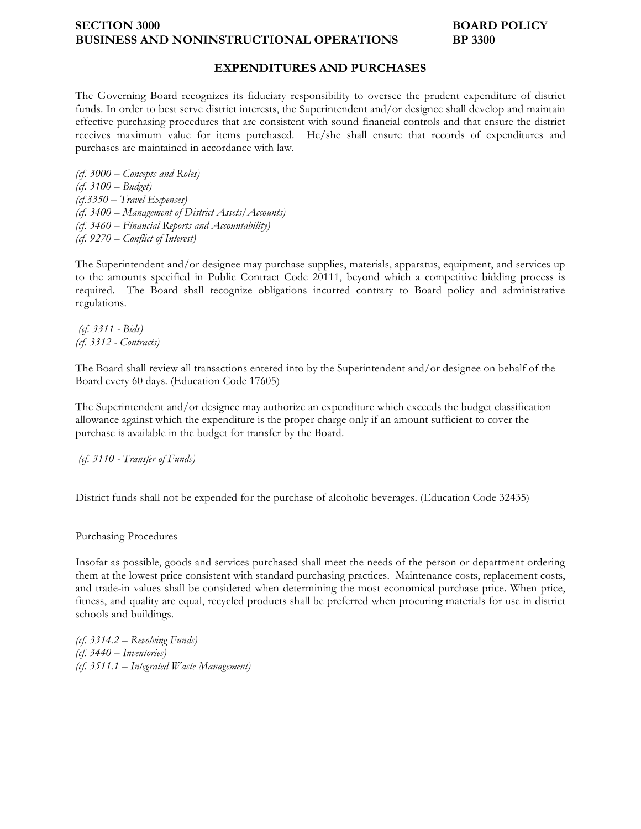### **SECTION 3000 BOARD POLICY BUSINESS AND NONINSTRUCTIONAL OPERATIONS BP 3300**

## **EXPENDITURES AND PURCHASES**

The Governing Board recognizes its fiduciary responsibility to oversee the prudent expenditure of district funds. In order to best serve district interests, the Superintendent and/or designee shall develop and maintain effective purchasing procedures that are consistent with sound financial controls and that ensure the district receives maximum value for items purchased. He/she shall ensure that records of expenditures and purchases are maintained in accordance with law.

*(cf. 3000 – Concepts and Roles) (cf. 3100 – Budget) (cf.3350 – Travel Expenses) (cf. 3400 – Management of District Assets/Accounts) (cf. 3460 – Financial Reports and Accountability) (cf. 9270 – Conflict of Interest)*

The Superintendent and/or designee may purchase supplies, materials, apparatus, equipment, and services up to the amounts specified in Public Contract Code 20111, beyond which a competitive bidding process is required. The Board shall recognize obligations incurred contrary to Board policy and administrative regulations.

*(cf. 3311 - Bids) (cf. 3312 - Contracts)*

The Board shall review all transactions entered into by the Superintendent and/or designee on behalf of the Board every 60 days. (Education Code 17605)

The Superintendent and/or designee may authorize an expenditure which exceeds the budget classification allowance against which the expenditure is the proper charge only if an amount sufficient to cover the purchase is available in the budget for transfer by the Board.

*(cf. 3110 - Transfer of Funds)*

District funds shall not be expended for the purchase of alcoholic beverages. (Education Code 32435)

Purchasing Procedures

Insofar as possible, goods and services purchased shall meet the needs of the person or department ordering them at the lowest price consistent with standard purchasing practices. Maintenance costs, replacement costs, and trade-in values shall be considered when determining the most economical purchase price. When price, fitness, and quality are equal, recycled products shall be preferred when procuring materials for use in district schools and buildings.

*(cf. 3314.2 – Revolving Funds) (cf. 3440 – Inventories) (cf. 3511.1 – Integrated Waste Management)*